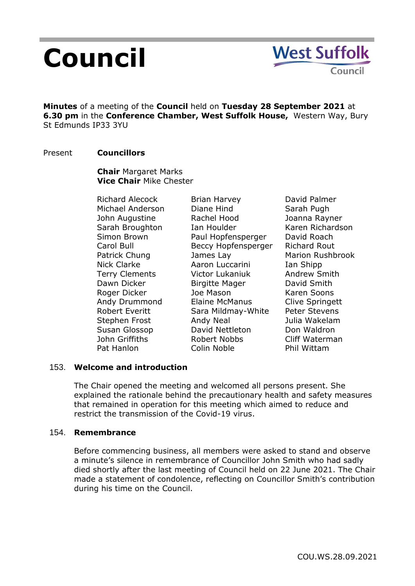# **Council**

**Minutes** of a meeting of the **Council** held on **Tuesday 28 September 2021** at **6.30 pm** in the **Conference Chamber, West Suffolk House,** Western Way, Bury St Edmunds IP33 3YU

## Present **Councillors**

**Chair** Margaret Marks **Vice Chair** Mike Chester

Richard Alecock Michael Anderson John Augustine Sarah Broughton Simon Brown Carol Bull Patrick Chung Nick Clarke Terry Clements Dawn Dicker Roger Dicker Andy Drummond Robert Everitt Stephen Frost Susan Glossop John Griffiths Pat Hanlon

Brian Harvey Diane Hind Rachel Hood Ian Houlder Paul Hopfensperger Beccy Hopfensperger James Lay Aaron Luccarini Victor Lukaniuk Birgitte Mager Joe Mason Elaine McManus Sara Mildmay-White Andy Neal David Nettleton Robert Nobbs Colin Noble

David Palmer Sarah Pugh Joanna Rayner Karen Richardson David Roach Richard Rout Marion Rushbrook Ian Shipp Andrew Smith David Smith Karen Soons Clive Springett Peter Stevens Julia Wakelam Don Waldron Cliff Waterman Phil Wittam

## 153. **Welcome and introduction**

The Chair opened the meeting and welcomed all persons present. She explained the rationale behind the precautionary health and safety measures that remained in operation for this meeting which aimed to reduce and restrict the transmission of the Covid-19 virus.

## 154. **Remembrance**

Before commencing business, all members were asked to stand and observe a minute's silence in remembrance of Councillor John Smith who had sadly died shortly after the last meeting of Council held on 22 June 2021. The Chair made a statement of condolence, reflecting on Councillor Smith's contribution during his time on the Council.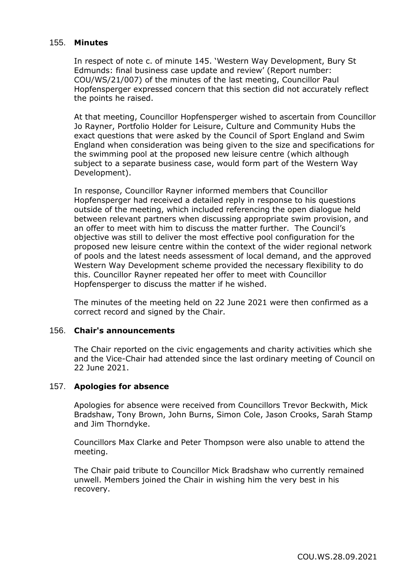## 155. **Minutes**

In respect of note c. of minute 145. 'Western Way Development, Bury St Edmunds: final business case update and review' (Report number: COU/WS/21/007) of the minutes of the last meeting, Councillor Paul Hopfensperger expressed concern that this section did not accurately reflect the points he raised.

At that meeting, Councillor Hopfensperger wished to ascertain from Councillor Jo Rayner, Portfolio Holder for Leisure, Culture and Community Hubs the exact questions that were asked by the Council of Sport England and Swim England when consideration was being given to the size and specifications for the swimming pool at the proposed new leisure centre (which although subject to a separate business case, would form part of the Western Way Development).

In response, Councillor Rayner informed members that Councillor Hopfensperger had received a detailed reply in response to his questions outside of the meeting, which included referencing the open dialogue held between relevant partners when discussing appropriate swim provision, and an offer to meet with him to discuss the matter further. The Council's objective was still to deliver the most effective pool configuration for the proposed new leisure centre within the context of the wider regional network of pools and the latest needs assessment of local demand, and the approved Western Way Development scheme provided the necessary flexibility to do this. Councillor Rayner repeated her offer to meet with Councillor Hopfensperger to discuss the matter if he wished.

The minutes of the meeting held on 22 June 2021 were then confirmed as a correct record and signed by the Chair.

### 156. **Chair's announcements**

The Chair reported on the civic engagements and charity activities which she and the Vice-Chair had attended since the last ordinary meeting of Council on 22 June 2021.

## 157. **Apologies for absence**

Apologies for absence were received from Councillors Trevor Beckwith, Mick Bradshaw, Tony Brown, John Burns, Simon Cole, Jason Crooks, Sarah Stamp and Jim Thorndyke.

Councillors Max Clarke and Peter Thompson were also unable to attend the meeting.

The Chair paid tribute to Councillor Mick Bradshaw who currently remained unwell. Members joined the Chair in wishing him the very best in his recovery.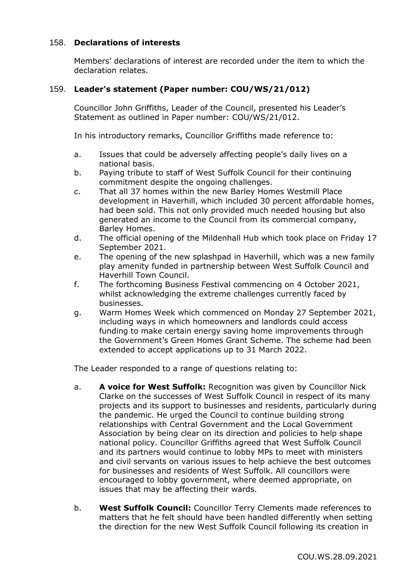## 158. **Declarations of interests**

Members' declarations of interest are recorded under the item to which the declaration relates.

## 159. **Leader's statement (Paper number: COU/WS/21/012)**

Councillor John Griffiths, Leader of the Council, presented his Leader's Statement as outlined in Paper number: COU/WS/21/012.

In his introductory remarks, Councillor Griffiths made reference to:

- a. Issues that could be adversely affecting people's daily lives on a national basis.
- b. Paying tribute to staff of West Suffolk Council for their continuing commitment despite the ongoing challenges.
- c. That all 37 homes within the new Barley Homes Westmill Place development in Haverhill, which included 30 percent affordable homes, had been sold. This not only provided much needed housing but also generated an income to the Council from its commercial company, Barley Homes.
- d. The official opening of the Mildenhall Hub which took place on Friday 17 September 2021.
- e. The opening of the new splashpad in Haverhill, which was a new family play amenity funded in partnership between West Suffolk Council and Haverhill Town Council.
- f. The forthcoming Business Festival commencing on 4 October 2021, whilst acknowledging the extreme challenges currently faced by businesses.
- g. Warm Homes Week which commenced on Monday 27 September 2021, including ways in which homeowners and landlords could access funding to make certain energy saving home improvements through the Government's Green Homes Grant Scheme. The scheme had been extended to accept applications up to 31 March 2022.

The Leader responded to a range of questions relating to:

- a. **A voice for West Suffolk:** Recognition was given by Councillor Nick Clarke on the successes of West Suffolk Council in respect of its many projects and its support to businesses and residents, particularly during the pandemic. He urged the Council to continue building strong relationships with Central Government and the Local Government Association by being clear on its direction and policies to help shape national policy. Councillor Griffiths agreed that West Suffolk Council and its partners would continue to lobby MPs to meet with ministers and civil servants on various issues to help achieve the best outcomes for businesses and residents of West Suffolk. All councillors were encouraged to lobby government, where deemed appropriate, on issues that may be affecting their wards.
- b. **West Suffolk Council:** Councillor Terry Clements made references to matters that he felt should have been handled differently when setting the direction for the new West Suffolk Council following its creation in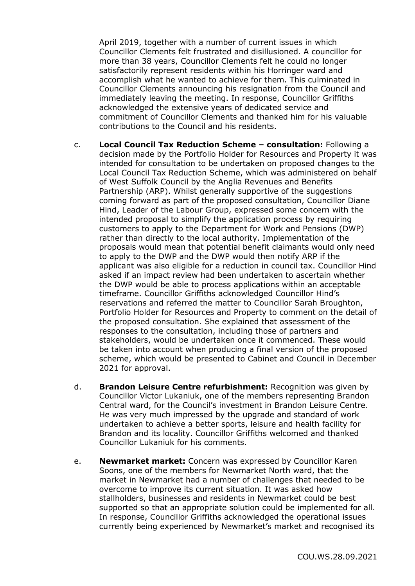April 2019, together with a number of current issues in which Councillor Clements felt frustrated and disillusioned. A councillor for more than 38 years, Councillor Clements felt he could no longer satisfactorily represent residents within his Horringer ward and accomplish what he wanted to achieve for them. This culminated in Councillor Clements announcing his resignation from the Council and immediately leaving the meeting. In response, Councillor Griffiths acknowledged the extensive years of dedicated service and commitment of Councillor Clements and thanked him for his valuable contributions to the Council and his residents.

- c. **Local Council Tax Reduction Scheme – consultation:** Following a decision made by the Portfolio Holder for Resources and Property it was intended for consultation to be undertaken on proposed changes to the Local Council Tax Reduction Scheme, which was administered on behalf of West Suffolk Council by the Anglia Revenues and Benefits Partnership (ARP). Whilst generally supportive of the suggestions coming forward as part of the proposed consultation, Councillor Diane Hind, Leader of the Labour Group, expressed some concern with the intended proposal to simplify the application process by requiring customers to apply to the Department for Work and Pensions (DWP) rather than directly to the local authority. Implementation of the proposals would mean that potential benefit claimants would only need to apply to the DWP and the DWP would then notify ARP if the applicant was also eligible for a reduction in council tax. Councillor Hind asked if an impact review had been undertaken to ascertain whether the DWP would be able to process applications within an acceptable timeframe. Councillor Griffiths acknowledged Councillor Hind's reservations and referred the matter to Councillor Sarah Broughton, Portfolio Holder for Resources and Property to comment on the detail of the proposed consultation. She explained that assessment of the responses to the consultation, including those of partners and stakeholders, would be undertaken once it commenced. These would be taken into account when producing a final version of the proposed scheme, which would be presented to Cabinet and Council in December 2021 for approval.
- d. **Brandon Leisure Centre refurbishment:** Recognition was given by Councillor Victor Lukaniuk, one of the members representing Brandon Central ward, for the Council's investment in Brandon Leisure Centre. He was very much impressed by the upgrade and standard of work undertaken to achieve a better sports, leisure and health facility for Brandon and its locality. Councillor Griffiths welcomed and thanked Councillor Lukaniuk for his comments.
- e. **Newmarket market:** Concern was expressed by Councillor Karen Soons, one of the members for Newmarket North ward, that the market in Newmarket had a number of challenges that needed to be overcome to improve its current situation. It was asked how stallholders, businesses and residents in Newmarket could be best supported so that an appropriate solution could be implemented for all. In response, Councillor Griffiths acknowledged the operational issues currently being experienced by Newmarket's market and recognised its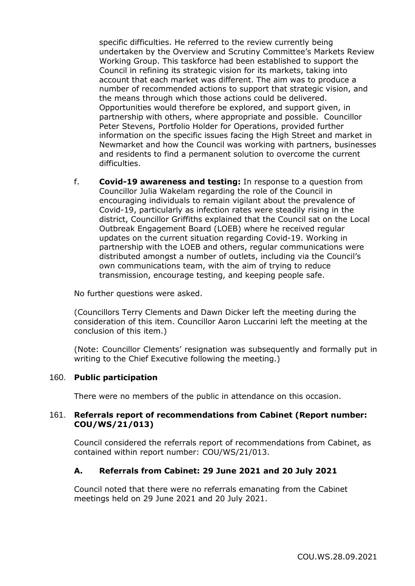specific difficulties. He referred to the review currently being undertaken by the Overview and Scrutiny Committee's Markets Review Working Group. This taskforce had been established to support the Council in refining its strategic vision for its markets, taking into account that each market was different. The aim was to produce a number of recommended actions to support that strategic vision, and the means through which those actions could be delivered. Opportunities would therefore be explored, and support given, in partnership with others, where appropriate and possible. Councillor Peter Stevens, Portfolio Holder for Operations, provided further information on the specific issues facing the High Street and market in Newmarket and how the Council was working with partners, businesses and residents to find a permanent solution to overcome the current difficulties.

f. **Covid-19 awareness and testing:** In response to a question from Councillor Julia Wakelam regarding the role of the Council in encouraging individuals to remain vigilant about the prevalence of Covid-19, particularly as infection rates were steadily rising in the district, Councillor Griffiths explained that the Council sat on the Local Outbreak Engagement Board (LOEB) where he received regular updates on the current situation regarding Covid-19. Working in partnership with the LOEB and others, regular communications were distributed amongst a number of outlets, including via the Council's own communications team, with the aim of trying to reduce transmission, encourage testing, and keeping people safe.

No further questions were asked.

(Councillors Terry Clements and Dawn Dicker left the meeting during the consideration of this item. Councillor Aaron Luccarini left the meeting at the conclusion of this item.)

(Note: Councillor Clements' resignation was subsequently and formally put in writing to the Chief Executive following the meeting.)

## 160. **Public participation**

There were no members of the public in attendance on this occasion.

## 161. **Referrals report of recommendations from Cabinet (Report number: COU/WS/21/013)**

Council considered the referrals report of recommendations from Cabinet, as contained within report number: COU/WS/21/013.

# **A. Referrals from Cabinet: 29 June 2021 and 20 July 2021**

Council noted that there were no referrals emanating from the Cabinet meetings held on 29 June 2021 and 20 July 2021.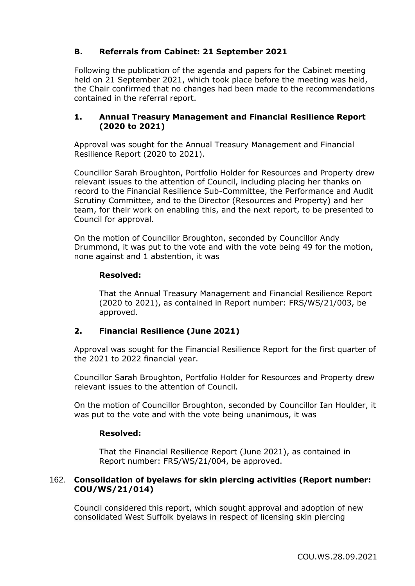# **B. Referrals from Cabinet: 21 September 2021**

Following the publication of the agenda and papers for the Cabinet meeting held on 21 September 2021, which took place before the meeting was held, the Chair confirmed that no changes had been made to the recommendations contained in the referral report.

# **1. Annual Treasury Management and Financial Resilience Report (2020 to 2021)**

Approval was sought for the Annual Treasury Management and Financial Resilience Report (2020 to 2021).

Councillor Sarah Broughton, Portfolio Holder for Resources and Property drew relevant issues to the attention of Council, including placing her thanks on record to the Financial Resilience Sub-Committee, the Performance and Audit Scrutiny Committee, and to the Director (Resources and Property) and her team, for their work on enabling this, and the next report, to be presented to Council for approval.

On the motion of Councillor Broughton, seconded by Councillor Andy Drummond, it was put to the vote and with the vote being 49 for the motion, none against and 1 abstention, it was

# **Resolved:**

That the Annual Treasury Management and Financial Resilience Report (2020 to 2021), as contained in Report number: FRS/WS/21/003, be approved.

# **2. Financial Resilience (June 2021)**

Approval was sought for the Financial Resilience Report for the first quarter of the 2021 to 2022 financial year.

Councillor Sarah Broughton, Portfolio Holder for Resources and Property drew relevant issues to the attention of Council.

On the motion of Councillor Broughton, seconded by Councillor Ian Houlder, it was put to the vote and with the vote being unanimous, it was

## **Resolved:**

That the Financial Resilience Report (June 2021), as contained in Report number: FRS/WS/21/004, be approved.

## 162. **Consolidation of byelaws for skin piercing activities (Report number: COU/WS/21/014)**

Council considered this report, which sought approval and adoption of new consolidated West Suffolk byelaws in respect of licensing skin piercing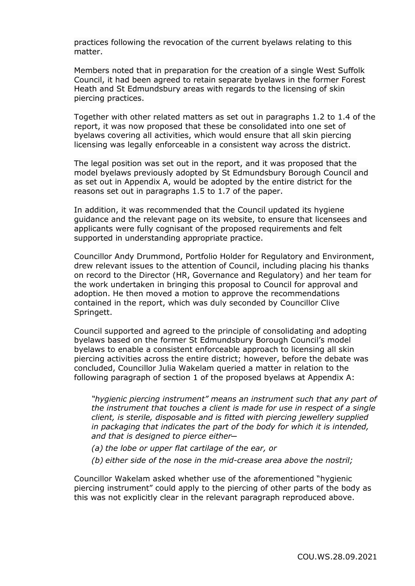practices following the revocation of the current byelaws relating to this matter.

Members noted that in preparation for the creation of a single West Suffolk Council, it had been agreed to retain separate byelaws in the former Forest Heath and St Edmundsbury areas with regards to the licensing of skin piercing practices.

Together with other related matters as set out in paragraphs 1.2 to 1.4 of the report, it was now proposed that these be consolidated into one set of byelaws covering all activities, which would ensure that all skin piercing licensing was legally enforceable in a consistent way across the district.

The legal position was set out in the report, and it was proposed that the model byelaws previously adopted by St Edmundsbury Borough Council and as set out in Appendix A, would be adopted by the entire district for the reasons set out in paragraphs 1.5 to 1.7 of the paper.

In addition, it was recommended that the Council updated its hygiene guidance and the relevant page on its website, to ensure that licensees and applicants were fully cognisant of the proposed requirements and felt supported in understanding appropriate practice.

Councillor Andy Drummond, Portfolio Holder for Regulatory and Environment, drew relevant issues to the attention of Council, including placing his thanks on record to the Director (HR, Governance and Regulatory) and her team for the work undertaken in bringing this proposal to Council for approval and adoption. He then moved a motion to approve the recommendations contained in the report, which was duly seconded by Councillor Clive Springett.

Council supported and agreed to the principle of consolidating and adopting byelaws based on the former St Edmundsbury Borough Council's model byelaws to enable a consistent enforceable approach to licensing all skin piercing activities across the entire district; however, before the debate was concluded, Councillor Julia Wakelam queried a matter in relation to the following paragraph of section 1 of the proposed byelaws at Appendix A:

*"hygienic piercing instrument" means an instrument such that any part of the instrument that touches a client is made for use in respect of a single client, is sterile, disposable and is fitted with piercing jewellery supplied in packaging that indicates the part of the body for which it is intended, and that is designed to pierce either─*

- *(a) the lobe or upper flat cartilage of the ear, or*
- *(b) either side of the nose in the mid-crease area above the nostril;*

Councillor Wakelam asked whether use of the aforementioned "hygienic piercing instrument" could apply to the piercing of other parts of the body as this was not explicitly clear in the relevant paragraph reproduced above.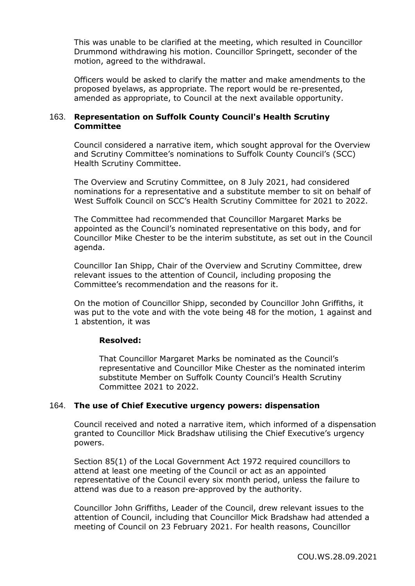This was unable to be clarified at the meeting, which resulted in Councillor Drummond withdrawing his motion. Councillor Springett, seconder of the motion, agreed to the withdrawal.

Officers would be asked to clarify the matter and make amendments to the proposed byelaws, as appropriate. The report would be re-presented, amended as appropriate, to Council at the next available opportunity.

## 163. **Representation on Suffolk County Council's Health Scrutiny Committee**

Council considered a narrative item, which sought approval for the Overview and Scrutiny Committee's nominations to Suffolk County Council's (SCC) Health Scrutiny Committee.

The Overview and Scrutiny Committee, on 8 July 2021, had considered nominations for a representative and a substitute member to sit on behalf of West Suffolk Council on SCC's Health Scrutiny Committee for 2021 to 2022.

The Committee had recommended that Councillor Margaret Marks be appointed as the Council's nominated representative on this body, and for Councillor Mike Chester to be the interim substitute, as set out in the Council agenda.

Councillor Ian Shipp, Chair of the Overview and Scrutiny Committee, drew relevant issues to the attention of Council, including proposing the Committee's recommendation and the reasons for it.

On the motion of Councillor Shipp, seconded by Councillor John Griffiths, it was put to the vote and with the vote being 48 for the motion, 1 against and 1 abstention, it was

## **Resolved:**

That Councillor Margaret Marks be nominated as the Council's representative and Councillor Mike Chester as the nominated interim substitute Member on Suffolk County Council's Health Scrutiny Committee 2021 to 2022.

## 164. **The use of Chief Executive urgency powers: dispensation**

Council received and noted a narrative item, which informed of a dispensation granted to Councillor Mick Bradshaw utilising the Chief Executive's urgency powers.

Section 85(1) of the Local Government Act 1972 required councillors to attend at least one meeting of the Council or act as an appointed representative of the Council every six month period, unless the failure to attend was due to a reason pre-approved by the authority.

Councillor John Griffiths, Leader of the Council, drew relevant issues to the attention of Council, including that Councillor Mick Bradshaw had attended a meeting of Council on 23 February 2021. For health reasons, Councillor